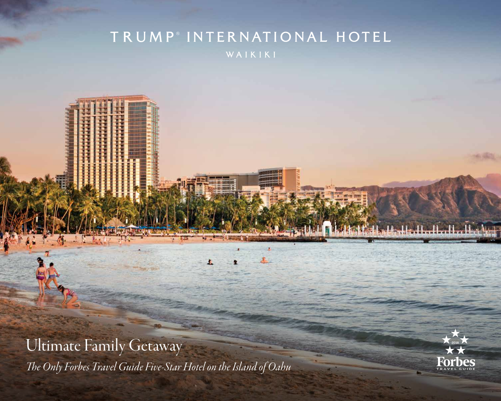## TRUMP<sup>®</sup> INTERNATIONAL HOTEL WAIKIKI



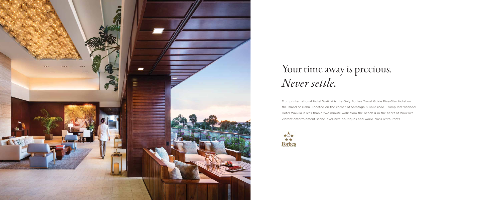Trump International Hotel Waikiki is the Only Forbes Travel Guide Five-Star Hotel on the Island of Oahu. Located on the corner of Saratoga & Kalia road, Trump International Hotel Waikiki is less than a two minute walk from the beach & in the heart of Waikiki's vibrant entertainment scene, exclusive boutiques and world-class restaurants.





# Your time away is precious. *Never settle.*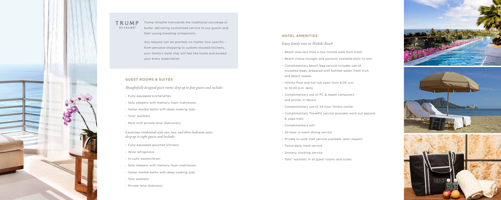

### TRUMP ATTACHÉ®

#### **GUEST ROOMS & SUITES**

*Thoughtfully designed guest rooms sleep up to four guests and include:*

- Fully-equipped kitchenettes
- Sofa sleepers with memory foam mattresses
- Italian marble baths with deep soaking tubs
- Toto® washlets
- Most with private lanai (balconies)

*Luxurious residential-style one, two, and three bedroom suites sleep up to eight guests and include:*

- Fully-equipped gourmet kitchens
- Wine refrigerator
- In-suite washer/dryer
- Sofa sleepers with memory foam mattresses
- Italian marble baths with deep soaking tubs
- Toto washlets
- Private lanai (balcony)

Trump Attaché transcends the traditional concierge or butler, delivering customized service to our guests and their young traveling companions.

Any request can be granted, no matter how specific – from personal shopping to custom-stocked kitchens, your family's hotel stay will feel like home and exceed your every expectation.

#### **HOTEL AMENITIES**

### *Enjoy family time on Waikiki Beach*

insulated bags, prepared with bottled water, fresh fruit,

- 
- Beach area less than a two minute walk from hotel - Beach chaise lounges and parasols available daily to rent - Complimentary beach bag service includes use of
- and beach towels
- Infinity Pool and hot tub open from 6:00 a.m. to 10:00 p.m. daily
- Complimentary use of PC & Apple computers and printer in library
- 
- & yoga mats
- Complimentary wifi
- 24-hour in-room dining service
- Private in-suite chef service available upon request
- Twice-daily maid service
- Grocery stocking service
- Toto® washlets in all guest rooms and suites

- Complimentary use of 24-hour fitness center
- Complimentary TravelFit service provides work out apparel
	-

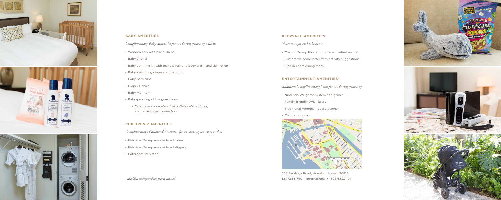

### **BABY AMENITIES**

*Complimentary Baby Amenities for use during your stay with us*

- Wooden crib with plush linens
- Baby stroller
- Baby bathtime kit with tearless hair and body wash, and skin lotion
- Baby swimming diapers at the pool
- Baby bath tub\*
- Diaper Genie\*
- Baby monitor\*
- Baby-proofing of the guestroom
	- *Safety covers on electrical outlets cabinet locks, and table corner protection*

### **CHILDRENS' AMENITIES**

*Complimentary Childrens' Amenities for use during your stay with us*

- Kid-sized Trump embroidered robes
- Kid-sized Trump embroidered slippers
- Bathroom step stool

#### **KEEPSAKE AMENITIES**

- *Yours to enjoy and take home*
- Custom Trump Kids embroidered stuffed animal
- Custom welcome letter with activity suggestions
- Kids in-room dining menu

### **ENTERTAINMENT AMENITIES\***

- *Additional complimentary items for use during your stay*
	-
- Traditional American board games
- Nintendo Wii game system and games
- Family-friendly DVD library
- 
- Children's books



223 Saratoga Road, Honolulu, Hawaii 96815



*\* Available on request from Trump Attaché* 1.877.683.7401 | International +1.808.683.7401 *®*